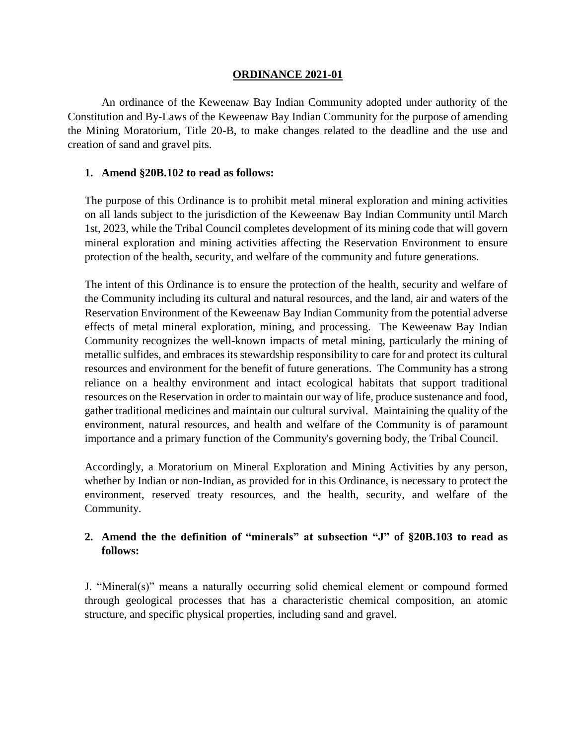#### **ORDINANCE 2021-01**

An ordinance of the Keweenaw Bay Indian Community adopted under authority of the Constitution and By-Laws of the Keweenaw Bay Indian Community for the purpose of amending the Mining Moratorium, Title 20-B, to make changes related to the deadline and the use and creation of sand and gravel pits.

#### **1. Amend §20B.102 to read as follows:**

The purpose of this Ordinance is to prohibit metal mineral exploration and mining activities on all lands subject to the jurisdiction of the Keweenaw Bay Indian Community until March 1st, 2023, while the Tribal Council completes development of its mining code that will govern mineral exploration and mining activities affecting the Reservation Environment to ensure protection of the health, security, and welfare of the community and future generations.

The intent of this Ordinance is to ensure the protection of the health, security and welfare of the Community including its cultural and natural resources, and the land, air and waters of the Reservation Environment of the Keweenaw Bay Indian Community from the potential adverse effects of metal mineral exploration, mining, and processing. The Keweenaw Bay Indian Community recognizes the well-known impacts of metal mining, particularly the mining of metallic sulfides, and embraces its stewardship responsibility to care for and protect its cultural resources and environment for the benefit of future generations. The Community has a strong reliance on a healthy environment and intact ecological habitats that support traditional resources on the Reservation in order to maintain our way of life, produce sustenance and food, gather traditional medicines and maintain our cultural survival. Maintaining the quality of the environment, natural resources, and health and welfare of the Community is of paramount importance and a primary function of the Community's governing body, the Tribal Council.

Accordingly, a Moratorium on Mineral Exploration and Mining Activities by any person, whether by Indian or non-Indian, as provided for in this Ordinance, is necessary to protect the environment, reserved treaty resources, and the health, security, and welfare of the Community.

### **2. Amend the the definition of "minerals" at subsection "J" of §20B.103 to read as follows:**

J. "Mineral(s)" means a naturally occurring solid chemical element or compound formed through geological processes that has a characteristic chemical composition, an atomic structure, and specific physical properties, including sand and gravel.